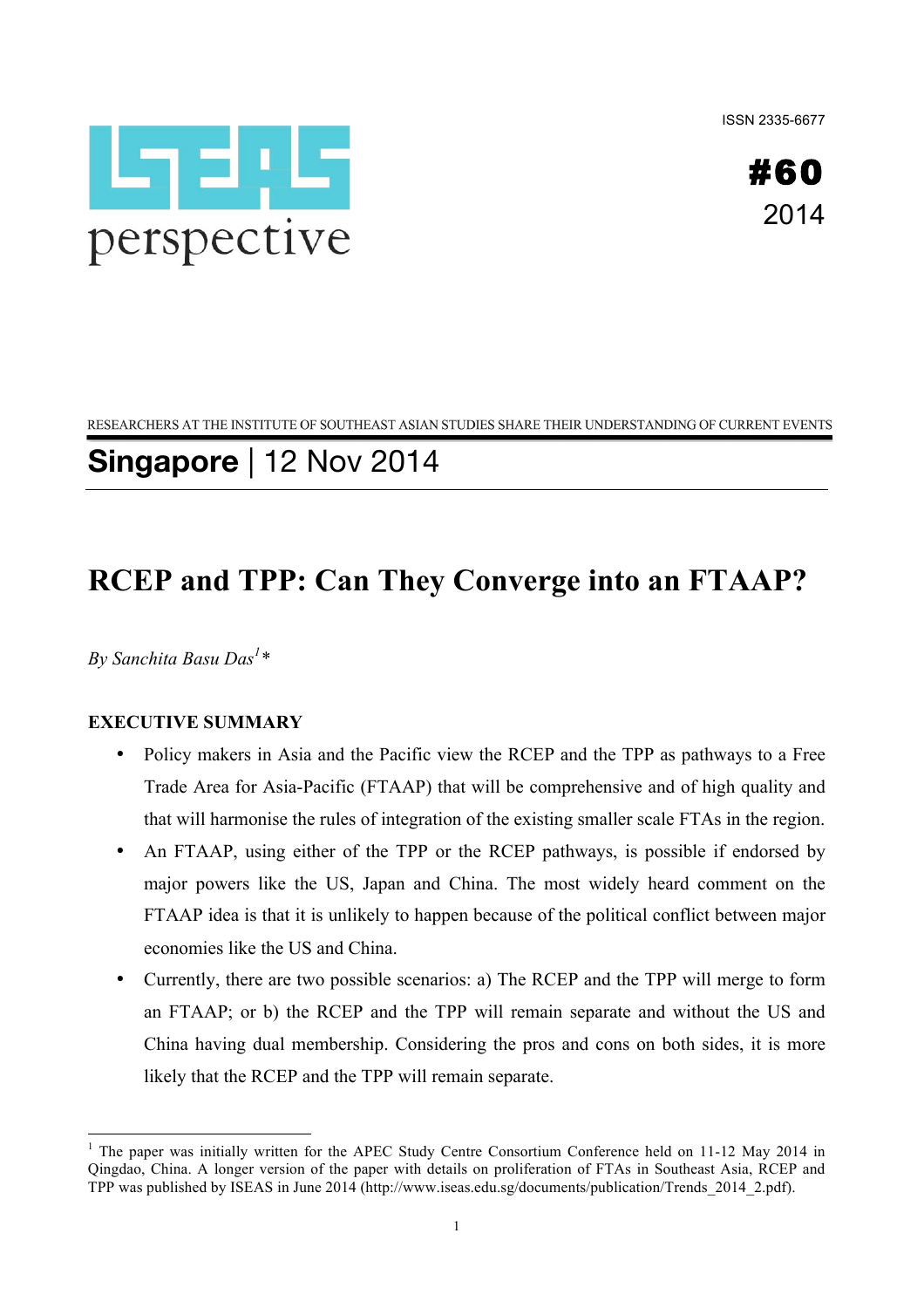ISSN 2335-6677





RESEARCHERS AT THE INSTITUTE OF SOUTHEAST ASIAN STUDIES SHARE THEIR UNDERSTANDING OF CURRENT EVENTS

**Singapore** | 12 Nov 2014

# **RCEP and TPP: Can They Converge into an FTAAP?**

*By Sanchita Basu Das<sup>1</sup> \**

## **EXECUTIVE SUMMARY**

- Policy makers in Asia and the Pacific view the RCEP and the TPP as pathways to a Free Trade Area for Asia-Pacific (FTAAP) that will be comprehensive and of high quality and that will harmonise the rules of integration of the existing smaller scale FTAs in the region.
- An FTAAP, using either of the TPP or the RCEP pathways, is possible if endorsed by major powers like the US, Japan and China. The most widely heard comment on the FTAAP idea is that it is unlikely to happen because of the political conflict between major economies like the US and China.
- Currently, there are two possible scenarios: a) The RCEP and the TPP will merge to form an FTAAP; or b) the RCEP and the TPP will remain separate and without the US and China having dual membership. Considering the pros and cons on both sides, it is more likely that the RCEP and the TPP will remain separate.

<sup>&</sup>lt;sup>1</sup> The paper was initially written for the APEC Study Centre Consortium Conference held on 11-12 May 2014 in Qingdao, China. A longer version of the paper with details on proliferation of FTAs in Southeast Asia, RCEP and TPP was published by ISEAS in June 2014 (http://www.iseas.edu.sg/documents/publication/Trends\_2014\_2.pdf).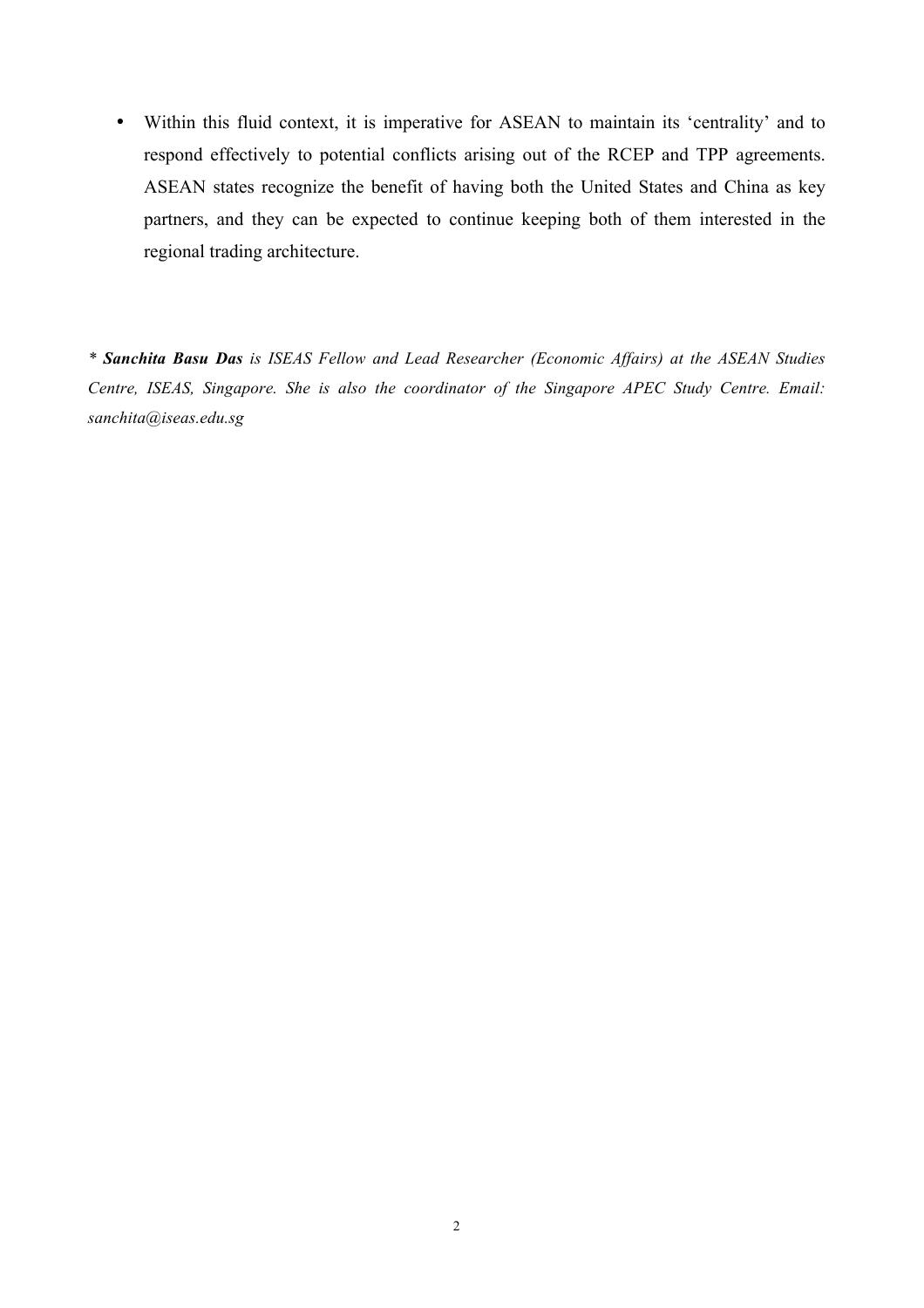• Within this fluid context, it is imperative for ASEAN to maintain its 'centrality' and to respond effectively to potential conflicts arising out of the RCEP and TPP agreements. ASEAN states recognize the benefit of having both the United States and China as key partners, and they can be expected to continue keeping both of them interested in the regional trading architecture.

*\* Sanchita Basu Das is ISEAS Fellow and Lead Researcher (Economic Affairs) at the ASEAN Studies Centre, ISEAS, Singapore. She is also the coordinator of the Singapore APEC Study Centre. Email: sanchita@iseas.edu.sg*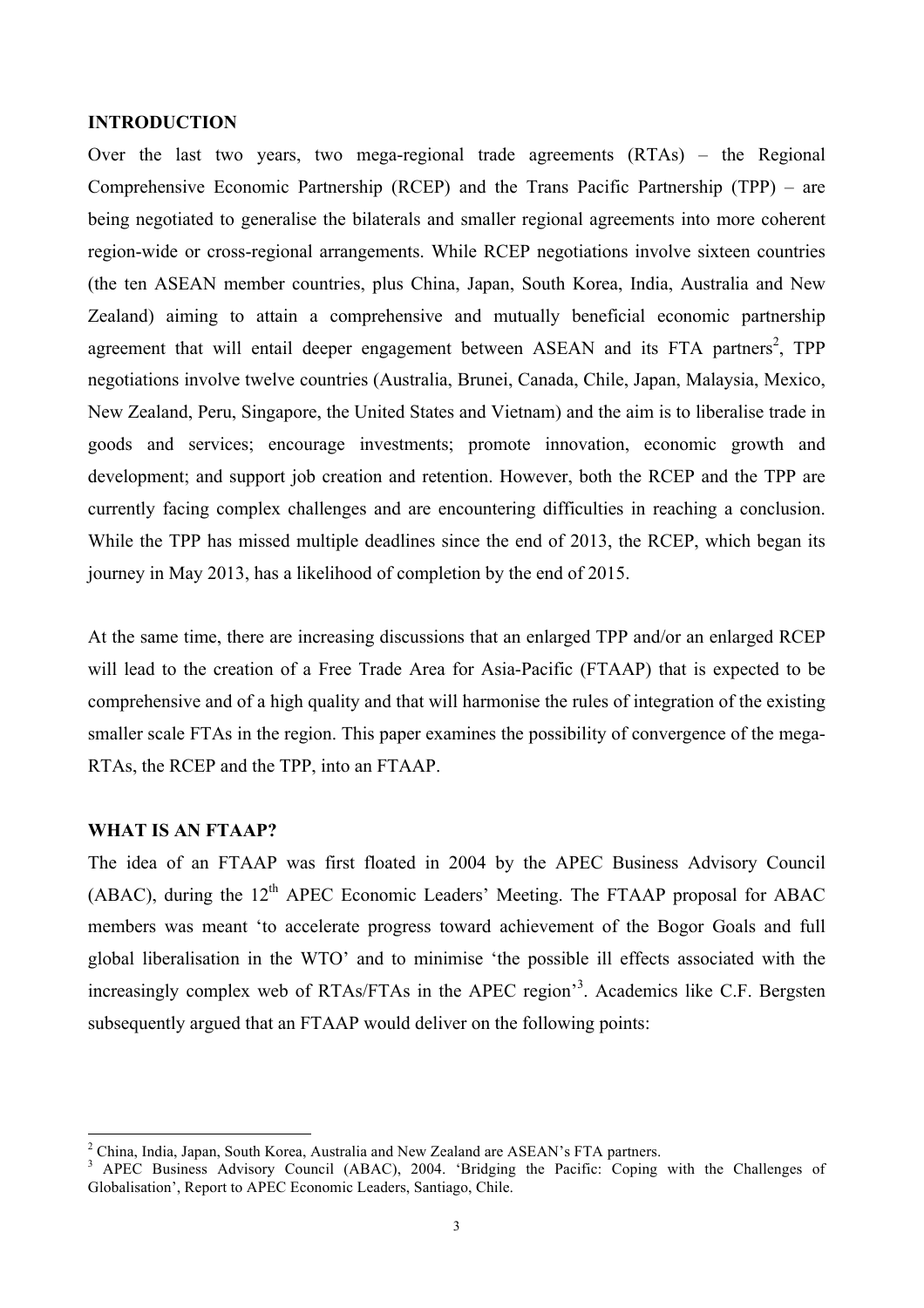#### **INTRODUCTION**

Over the last two years, two mega-regional trade agreements (RTAs) – the Regional Comprehensive Economic Partnership (RCEP) and the Trans Pacific Partnership (TPP) – are being negotiated to generalise the bilaterals and smaller regional agreements into more coherent region-wide or cross-regional arrangements. While RCEP negotiations involve sixteen countries (the ten ASEAN member countries, plus China, Japan, South Korea, India, Australia and New Zealand) aiming to attain a comprehensive and mutually beneficial economic partnership agreement that will entail deeper engagement between ASEAN and its FTA partners<sup>2</sup>, TPP negotiations involve twelve countries (Australia, Brunei, Canada, Chile, Japan, Malaysia, Mexico, New Zealand, Peru, Singapore, the United States and Vietnam) and the aim is to liberalise trade in goods and services; encourage investments; promote innovation, economic growth and development; and support job creation and retention. However, both the RCEP and the TPP are currently facing complex challenges and are encountering difficulties in reaching a conclusion. While the TPP has missed multiple deadlines since the end of 2013, the RCEP, which began its journey in May 2013, has a likelihood of completion by the end of 2015.

At the same time, there are increasing discussions that an enlarged TPP and/or an enlarged RCEP will lead to the creation of a Free Trade Area for Asia-Pacific (FTAAP) that is expected to be comprehensive and of a high quality and that will harmonise the rules of integration of the existing smaller scale FTAs in the region. This paper examines the possibility of convergence of the mega-RTAs, the RCEP and the TPP, into an FTAAP.

#### **WHAT IS AN FTAAP?**

The idea of an FTAAP was first floated in 2004 by the APEC Business Advisory Council  $(ABAC)$ , during the 12<sup>th</sup> APEC Economic Leaders' Meeting. The FTAAP proposal for ABAC members was meant 'to accelerate progress toward achievement of the Bogor Goals and full global liberalisation in the WTO' and to minimise 'the possible ill effects associated with the increasingly complex web of RTAs/FTAs in the APEC region<sup>33</sup>. Academics like C.F. Bergsten subsequently argued that an FTAAP would deliver on the following points:

<sup>&</sup>lt;sup>2</sup> China, India, Japan, South Korea, Australia and New Zealand are ASEAN's FTA partners.

<sup>&</sup>lt;sup>3</sup> APEC Business Advisory Council (ABAC), 2004. 'Bridging the Pacific: Coping with the Challenges of Globalisation', Report to APEC Economic Leaders, Santiago, Chile.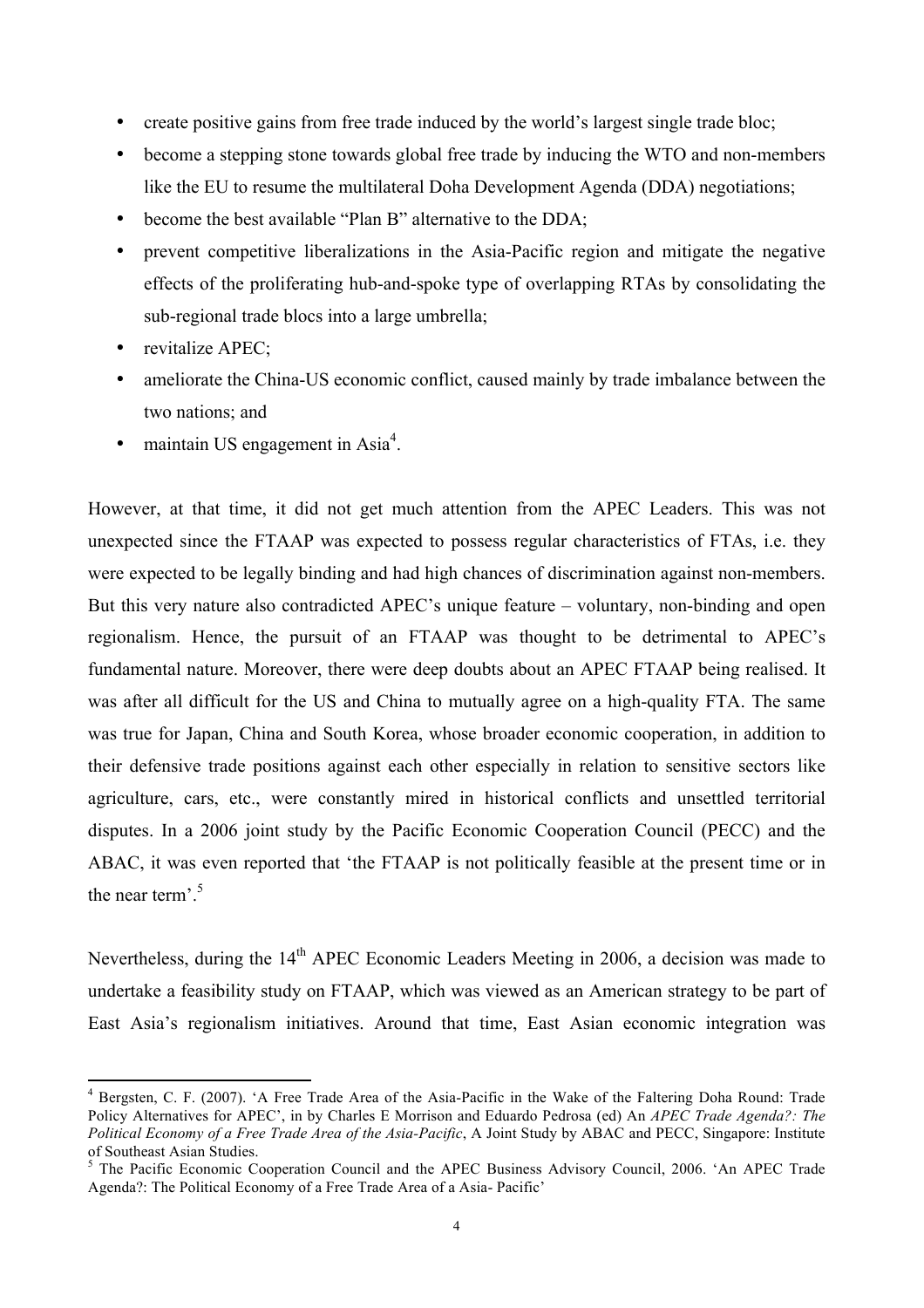- create positive gains from free trade induced by the world's largest single trade bloc;
- become a stepping stone towards global free trade by inducing the WTO and non-members like the EU to resume the multilateral Doha Development Agenda (DDA) negotiations;
- become the best available "Plan B" alternative to the DDA;
- prevent competitive liberalizations in the Asia-Pacific region and mitigate the negative effects of the proliferating hub-and-spoke type of overlapping RTAs by consolidating the sub-regional trade blocs into a large umbrella;
- revitalize APEC;
- ameliorate the China-US economic conflict, caused mainly by trade imbalance between the two nations; and
- maintain US engagement in Asia<sup>4</sup>.

However, at that time, it did not get much attention from the APEC Leaders. This was not unexpected since the FTAAP was expected to possess regular characteristics of FTAs, i.e. they were expected to be legally binding and had high chances of discrimination against non-members. But this very nature also contradicted APEC's unique feature – voluntary, non-binding and open regionalism. Hence, the pursuit of an FTAAP was thought to be detrimental to APEC's fundamental nature. Moreover, there were deep doubts about an APEC FTAAP being realised. It was after all difficult for the US and China to mutually agree on a high-quality FTA. The same was true for Japan, China and South Korea, whose broader economic cooperation, in addition to their defensive trade positions against each other especially in relation to sensitive sectors like agriculture, cars, etc., were constantly mired in historical conflicts and unsettled territorial disputes. In a 2006 joint study by the Pacific Economic Cooperation Council (PECC) and the ABAC, it was even reported that 'the FTAAP is not politically feasible at the present time or in the near term<sup>'5</sup>

Nevertheless, during the 14<sup>th</sup> APEC Economic Leaders Meeting in 2006, a decision was made to undertake a feasibility study on FTAAP, which was viewed as an American strategy to be part of East Asia's regionalism initiatives. Around that time, East Asian economic integration was

<sup>&</sup>lt;sup>4</sup> Bergsten, C. F. (2007). 'A Free Trade Area of the Asia-Pacific in the Wake of the Faltering Doha Round: Trade Policy Alternatives for APEC', in by Charles E Morrison and Eduardo Pedrosa (ed) An *APEC Trade Agenda?: The Political Economy of a Free Trade Area of the Asia-Pacific*, A Joint Study by ABAC and PECC, Singapore: Institute of Southeast Asian Studies.

<sup>&</sup>lt;sup>5</sup> The Pacific Economic Cooperation Council and the APEC Business Advisory Council, 2006. 'An APEC Trade Agenda?: The Political Economy of a Free Trade Area of a Asia- Pacific'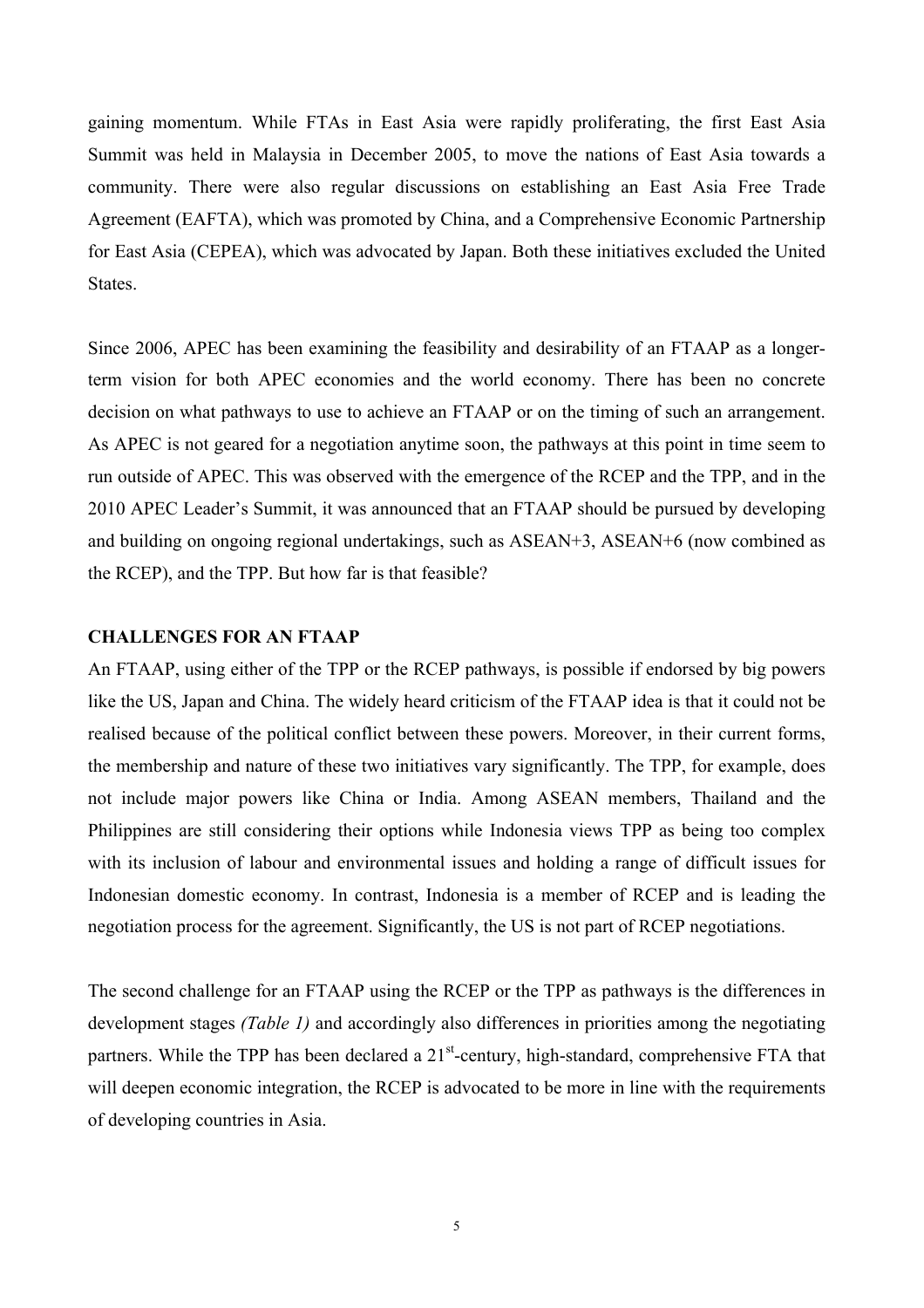gaining momentum. While FTAs in East Asia were rapidly proliferating, the first East Asia Summit was held in Malaysia in December 2005, to move the nations of East Asia towards a community. There were also regular discussions on establishing an East Asia Free Trade Agreement (EAFTA), which was promoted by China, and a Comprehensive Economic Partnership for East Asia (CEPEA), which was advocated by Japan. Both these initiatives excluded the United **States**.

Since 2006, APEC has been examining the feasibility and desirability of an FTAAP as a longerterm vision for both APEC economies and the world economy. There has been no concrete decision on what pathways to use to achieve an FTAAP or on the timing of such an arrangement. As APEC is not geared for a negotiation anytime soon, the pathways at this point in time seem to run outside of APEC. This was observed with the emergence of the RCEP and the TPP, and in the 2010 APEC Leader's Summit, it was announced that an FTAAP should be pursued by developing and building on ongoing regional undertakings, such as ASEAN+3, ASEAN+6 (now combined as the RCEP), and the TPP. But how far is that feasible?

#### **CHALLENGES FOR AN FTAAP**

An FTAAP, using either of the TPP or the RCEP pathways, is possible if endorsed by big powers like the US, Japan and China. The widely heard criticism of the FTAAP idea is that it could not be realised because of the political conflict between these powers. Moreover, in their current forms, the membership and nature of these two initiatives vary significantly. The TPP, for example, does not include major powers like China or India. Among ASEAN members, Thailand and the Philippines are still considering their options while Indonesia views TPP as being too complex with its inclusion of labour and environmental issues and holding a range of difficult issues for Indonesian domestic economy. In contrast, Indonesia is a member of RCEP and is leading the negotiation process for the agreement. Significantly, the US is not part of RCEP negotiations.

The second challenge for an FTAAP using the RCEP or the TPP as pathways is the differences in development stages *(Table 1)* and accordingly also differences in priorities among the negotiating partners. While the TPP has been declared a 21<sup>st</sup>-century, high-standard, comprehensive FTA that will deepen economic integration, the RCEP is advocated to be more in line with the requirements of developing countries in Asia.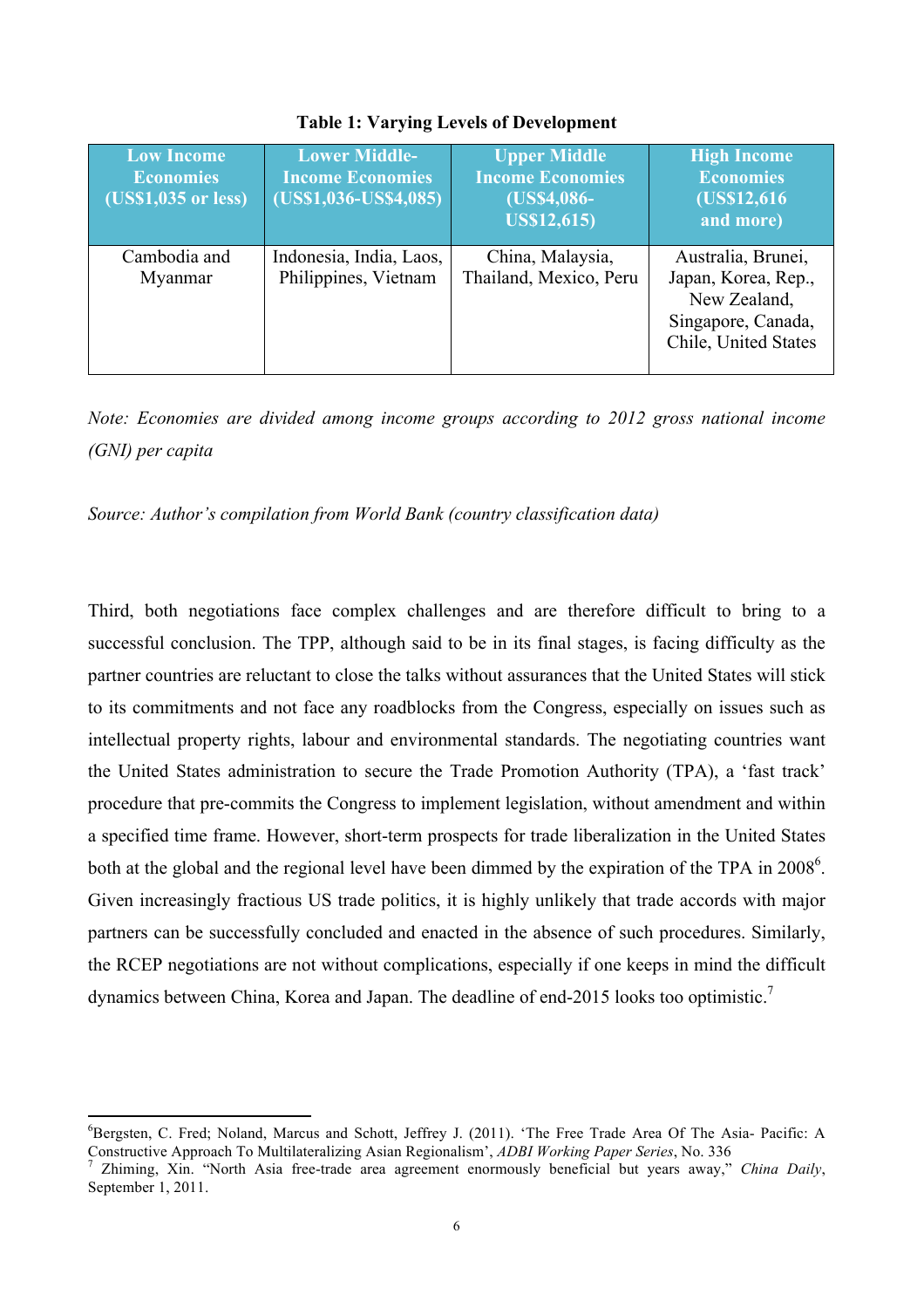| <b>Low Income</b><br><b>Economies</b><br>(US\$1,035 or less) | <b>Lower Middle-</b><br><b>Income Economies</b><br>$(US$1,036-US$4,085)$ | <b>Upper Middle</b><br><b>Income Economies</b><br>(US\$4,086-<br><b>US\$12,615</b> ) | <b>High Income</b><br><b>Economies</b><br>(US\$12,616)<br>and more)                                     |
|--------------------------------------------------------------|--------------------------------------------------------------------------|--------------------------------------------------------------------------------------|---------------------------------------------------------------------------------------------------------|
| Cambodia and<br>Myanmar                                      | Indonesia, India, Laos,<br>Philippines, Vietnam                          | China, Malaysia,<br>Thailand, Mexico, Peru                                           | Australia, Brunei,<br>Japan, Korea, Rep.,<br>New Zealand,<br>Singapore, Canada,<br>Chile, United States |

#### **Table 1: Varying Levels of Development**

*Note: Economies are divided among income groups according to 2012 gross national income (GNI) per capita*

*Source: Author's compilation from World Bank (country classification data)*

Third, both negotiations face complex challenges and are therefore difficult to bring to a successful conclusion. The TPP, although said to be in its final stages, is facing difficulty as the partner countries are reluctant to close the talks without assurances that the United States will stick to its commitments and not face any roadblocks from the Congress, especially on issues such as intellectual property rights, labour and environmental standards. The negotiating countries want the United States administration to secure the Trade Promotion Authority (TPA), a 'fast track' procedure that pre-commits the Congress to implement legislation, without amendment and within a specified time frame. However, short-term prospects for trade liberalization in the United States both at the global and the regional level have been dimmed by the expiration of the TPA in 2008<sup>6</sup>. Given increasingly fractious US trade politics, it is highly unlikely that trade accords with major partners can be successfully concluded and enacted in the absence of such procedures. Similarly, the RCEP negotiations are not without complications, especially if one keeps in mind the difficult dynamics between China, Korea and Japan. The deadline of end-2015 looks too optimistic.<sup>7</sup>

<sup>6</sup> Bergsten, C. Fred; Noland, Marcus and Schott, Jeffrey J. (2011). 'The Free Trade Area Of The Asia- Pacific: A Constructive Approach To Multilateralizing Asian Regionalism', *ADBI Working Paper Series*, No. 336 <sup>7</sup>

Zhiming, Xin. "North Asia free-trade area agreement enormously beneficial but years away," *China Daily*, September 1, 2011.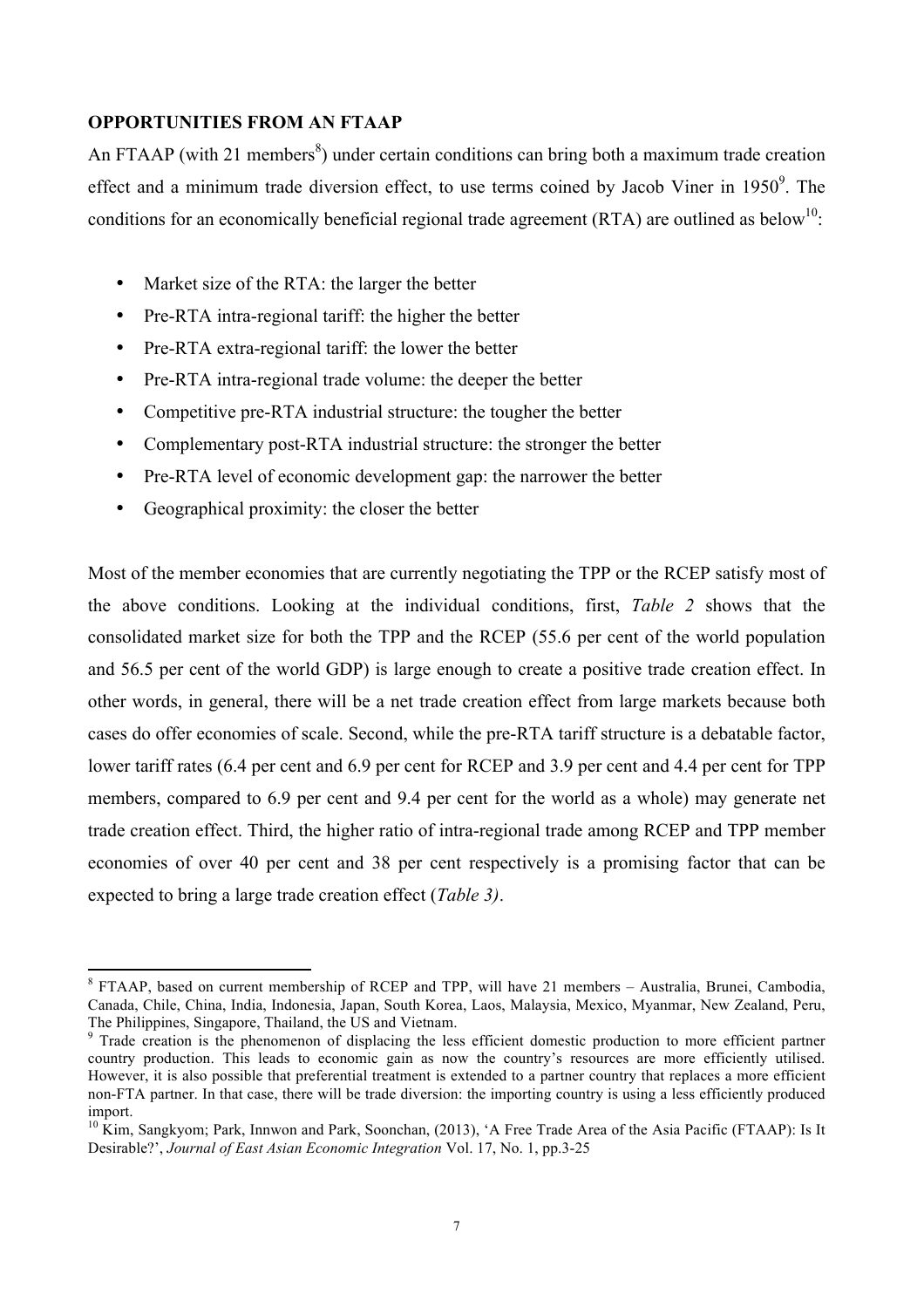## **OPPORTUNITIES FROM AN FTAAP**

An FTAAP (with 21 members<sup>8</sup>) under certain conditions can bring both a maximum trade creation effect and a minimum trade diversion effect, to use terms coined by Jacob Viner in  $1950^{\circ}$ . The conditions for an economically beneficial regional trade agreement (RTA) are outlined as below<sup>10</sup>:

- Market size of the RTA: the larger the better
- Pre-RTA intra-regional tariff: the higher the better
- Pre-RTA extra-regional tariff: the lower the better
- Pre-RTA intra-regional trade volume: the deeper the better
- Competitive pre-RTA industrial structure: the tougher the better
- Complementary post-RTA industrial structure: the stronger the better
- Pre-RTA level of economic development gap: the narrower the better
- Geographical proximity: the closer the better

Most of the member economies that are currently negotiating the TPP or the RCEP satisfy most of the above conditions. Looking at the individual conditions, first, *Table 2* shows that the consolidated market size for both the TPP and the RCEP (55.6 per cent of the world population and 56.5 per cent of the world GDP) is large enough to create a positive trade creation effect. In other words, in general, there will be a net trade creation effect from large markets because both cases do offer economies of scale. Second, while the pre-RTA tariff structure is a debatable factor, lower tariff rates (6.4 per cent and 6.9 per cent for RCEP and 3.9 per cent and 4.4 per cent for TPP members, compared to 6.9 per cent and 9.4 per cent for the world as a whole) may generate net trade creation effect. Third, the higher ratio of intra-regional trade among RCEP and TPP member economies of over 40 per cent and 38 per cent respectively is a promising factor that can be expected to bring a large trade creation effect (*Table 3)*.

<sup>8</sup> FTAAP, based on current membership of RCEP and TPP, will have 21 members – Australia, Brunei, Cambodia, Canada, Chile, China, India, Indonesia, Japan, South Korea, Laos, Malaysia, Mexico, Myanmar, New Zealand, Peru, The Philippines, Singapore, Thailand, the US and Vietnam.

<sup>&</sup>lt;sup>9</sup> Trade creation is the phenomenon of displacing the less efficient domestic production to more efficient partner country production. This leads to economic gain as now the country's resources are more efficiently utilised. However, it is also possible that preferential treatment is extended to a partner country that replaces a more efficient non-FTA partner. In that case, there will be trade diversion: the importing country is using a less efficiently produced import.

 $10$  Kim, Sangkyom; Park, Innwon and Park, Soonchan, (2013), 'A Free Trade Area of the Asia Pacific (FTAAP): Is It Desirable?', *Journal of East Asian Economic Integration* Vol. 17, No. 1, pp.3-25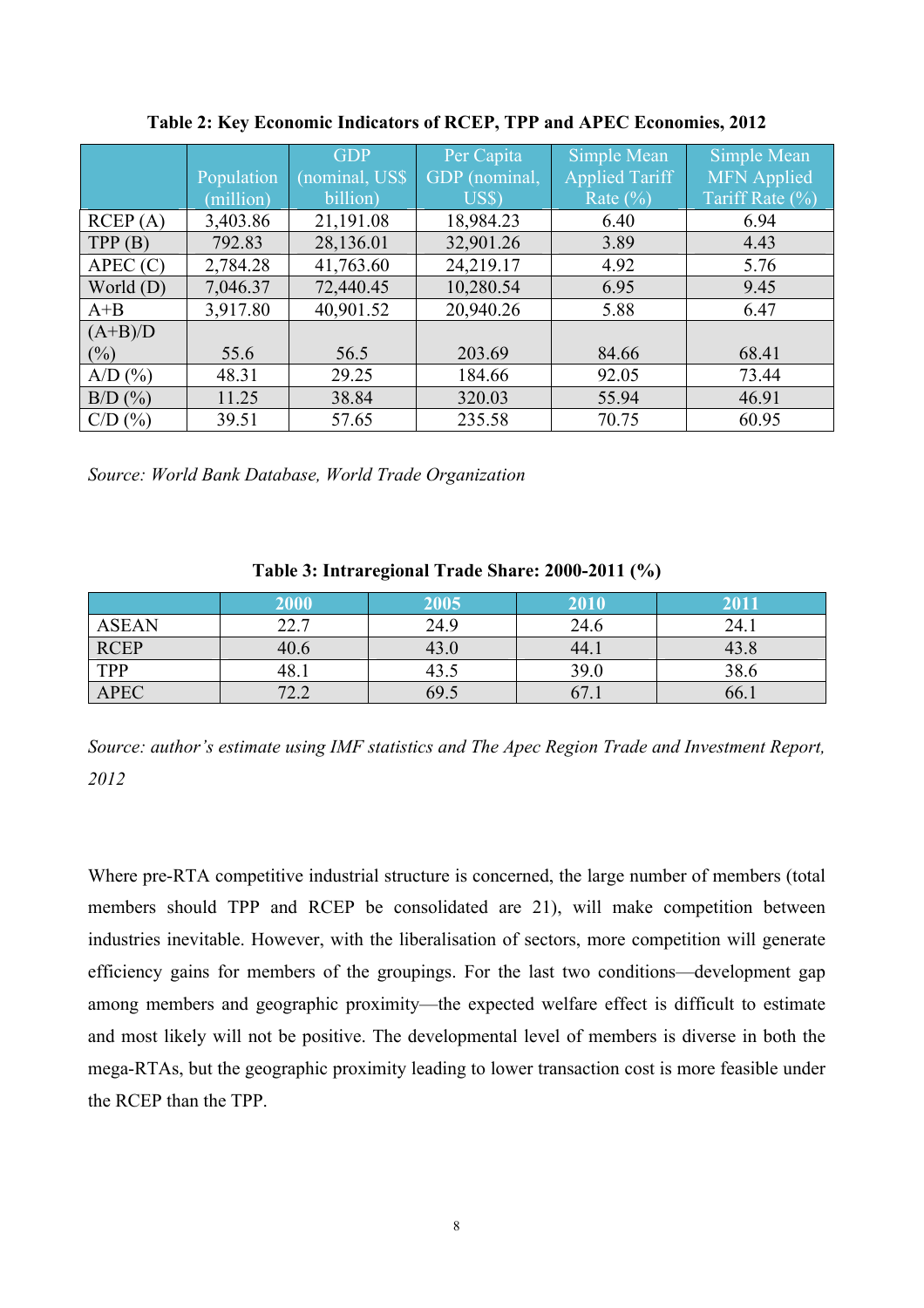|               |            | <b>GDP</b>     | Per Capita         | Simple Mean    | Simple Mean        |
|---------------|------------|----------------|--------------------|----------------|--------------------|
|               | Population | (nominal, US\$ | GDP (nominal,      | Applied Tariff | <b>MFN</b> Applied |
|               | (million)  | billion)       | $\overline{U}$ SS) | Rate $(\% )$   | Tariff Rate (%)    |
| RCEP(A)       | 3,403.86   | 21,191.08      | 18,984.23          | 6.40           | 6.94               |
| TPP(B)        | 792.83     | 28,136.01      | 32,901.26          | 3.89           | 4.43               |
| APEC(C)       | 2,784.28   | 41,763.60      | 24,219.17          | 4.92           | 5.76               |
| World $(D)$   | 7,046.37   | 72,440.45      | 10,280.54          | 6.95           | 9.45               |
| $A + B$       | 3,917.80   | 40,901.52      | 20,940.26          | 5.88           | 6.47               |
| $(A+B)/D$     |            |                |                    |                |                    |
| $(\%)$        | 55.6       | 56.5           | 203.69             | 84.66          | 68.41              |
| $A/D$ $(\% )$ | 48.31      | 29.25          | 184.66             | 92.05          | 73.44              |
| $B/D$ $(\% )$ | 11.25      | 38.84          | 320.03             | 55.94          | 46.91              |
| $C/D$ $(\%)$  | 39.51      | 57.65          | 235.58             | 70.75          | 60.95              |

**Table 2: Key Economic Indicators of RCEP, TPP and APEC Economies, 2012**

*Source: World Bank Database, World Trade Organization*

|              | 2000        | 2005 | 2010 | 2011 |
|--------------|-------------|------|------|------|
| <b>ASEAN</b> | 227<br>44.1 | 24.9 | 24.6 | 24.1 |
| RCEP<br>TPP  | 40.6        | 43.0 | 44.1 | 43.8 |
|              | 48.1        | 43.5 | 39.0 | 38.6 |
| <b>APEC</b>  | 72.2        | 69.5 | 67.1 | 66.1 |

**Table 3: Intraregional Trade Share: 2000-2011 (%)**

*Source: author's estimate using IMF statistics and The Apec Region Trade and Investment Report, 2012*

Where pre-RTA competitive industrial structure is concerned, the large number of members (total members should TPP and RCEP be consolidated are 21), will make competition between industries inevitable. However, with the liberalisation of sectors, more competition will generate efficiency gains for members of the groupings. For the last two conditions—development gap among members and geographic proximity—the expected welfare effect is difficult to estimate and most likely will not be positive. The developmental level of members is diverse in both the mega-RTAs, but the geographic proximity leading to lower transaction cost is more feasible under the RCEP than the TPP.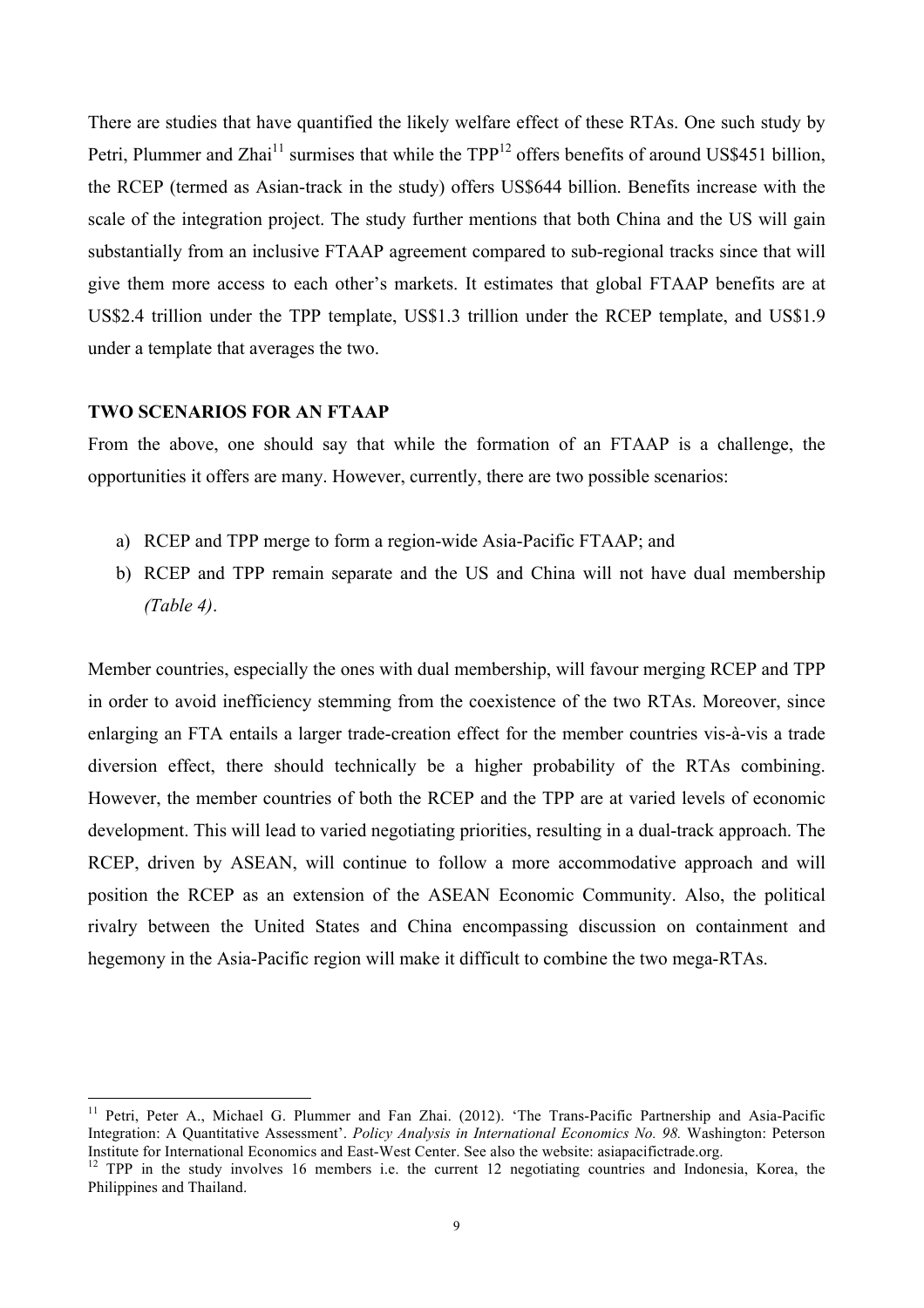There are studies that have quantified the likely welfare effect of these RTAs. One such study by Petri, Plummer and Zhai<sup>11</sup> surmises that while the  $TPP<sup>12</sup>$  offers benefits of around US\$451 billion, the RCEP (termed as Asian-track in the study) offers US\$644 billion. Benefits increase with the scale of the integration project. The study further mentions that both China and the US will gain substantially from an inclusive FTAAP agreement compared to sub-regional tracks since that will give them more access to each other's markets. It estimates that global FTAAP benefits are at US\$2.4 trillion under the TPP template, US\$1.3 trillion under the RCEP template, and US\$1.9 under a template that averages the two.

#### **TWO SCENARIOS FOR AN FTAAP**

From the above, one should say that while the formation of an FTAAP is a challenge, the opportunities it offers are many. However, currently, there are two possible scenarios:

- a) RCEP and TPP merge to form a region-wide Asia-Pacific FTAAP; and
- b) RCEP and TPP remain separate and the US and China will not have dual membership *(Table 4)*.

Member countries, especially the ones with dual membership, will favour merging RCEP and TPP in order to avoid inefficiency stemming from the coexistence of the two RTAs. Moreover, since enlarging an FTA entails a larger trade-creation effect for the member countries vis-à-vis a trade diversion effect, there should technically be a higher probability of the RTAs combining. However, the member countries of both the RCEP and the TPP are at varied levels of economic development. This will lead to varied negotiating priorities, resulting in a dual-track approach. The RCEP, driven by ASEAN, will continue to follow a more accommodative approach and will position the RCEP as an extension of the ASEAN Economic Community. Also, the political rivalry between the United States and China encompassing discussion on containment and hegemony in the Asia-Pacific region will make it difficult to combine the two mega-RTAs.

<sup>&</sup>lt;sup>11</sup> Petri, Peter A., Michael G. Plummer and Fan Zhai. (2012). 'The Trans-Pacific Partnership and Asia-Pacific Integration: A Quantitative Assessment'. *Policy Analysis in International Economics No. 98.* Washington: Peterson<br>Institute for International Economics and East-West Center. See also the website: asiapacifictrade.org.

<sup>&</sup>lt;sup>12</sup> TPP in the study involves 16 members i.e. the current 12 negotiating countries and Indonesia, Korea, the Philippines and Thailand.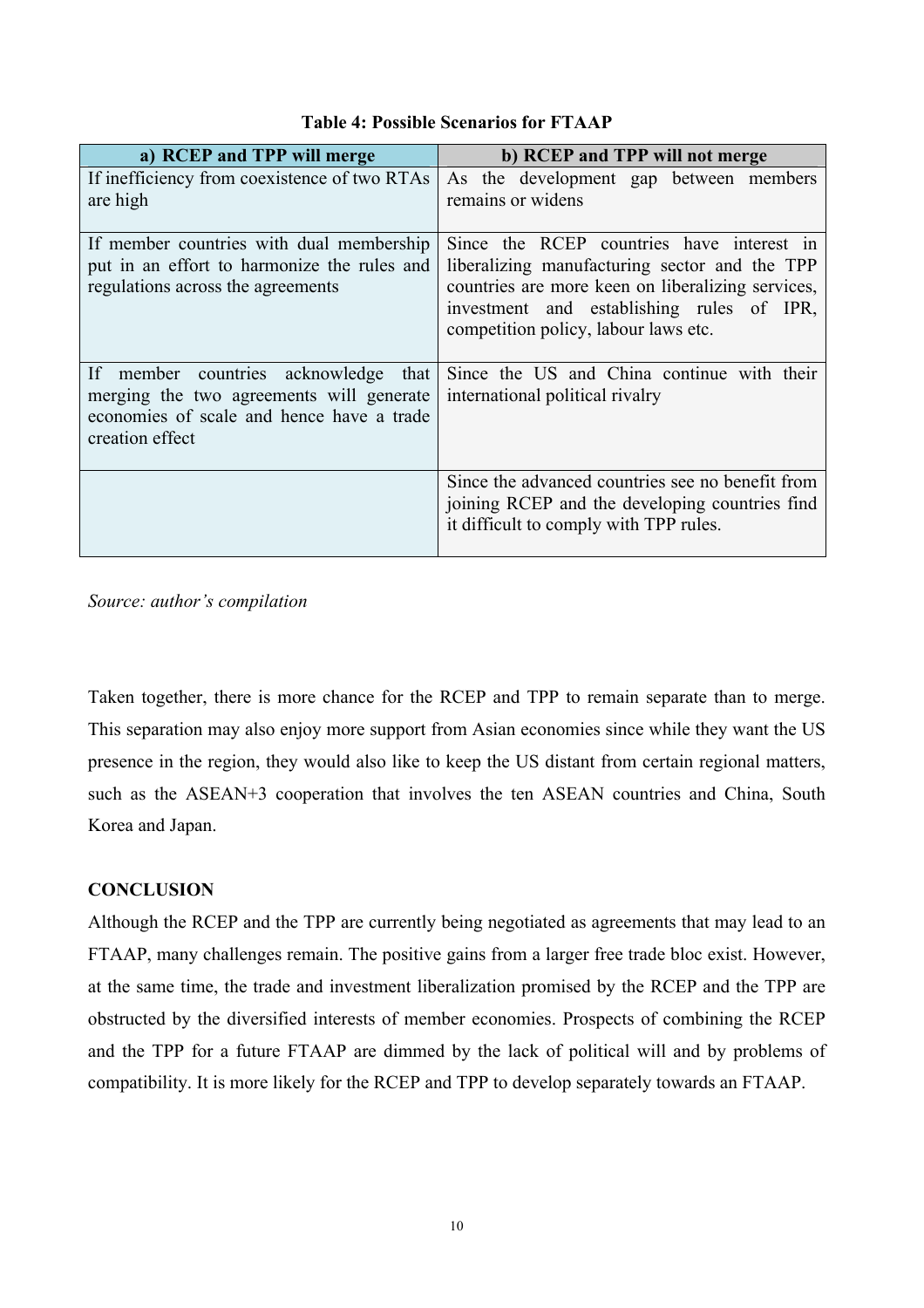| a) RCEP and TPP will merge                                                                                                                          | b) RCEP and TPP will not merge                                                                                                                                                                                                       |
|-----------------------------------------------------------------------------------------------------------------------------------------------------|--------------------------------------------------------------------------------------------------------------------------------------------------------------------------------------------------------------------------------------|
| If inefficiency from coexistence of two RTAs<br>are high                                                                                            | As the development gap between members<br>remains or widens                                                                                                                                                                          |
| If member countries with dual membership<br>put in an effort to harmonize the rules and<br>regulations across the agreements                        | Since the RCEP countries have interest in<br>liberalizing manufacturing sector and the TPP<br>countries are more keen on liberalizing services,<br>investment and establishing rules of IPR,<br>competition policy, labour laws etc. |
| If member countries acknowledge<br>that<br>merging the two agreements will generate<br>economies of scale and hence have a trade<br>creation effect | Since the US and China continue with their<br>international political rivalry                                                                                                                                                        |
|                                                                                                                                                     | Since the advanced countries see no benefit from<br>joining RCEP and the developing countries find<br>it difficult to comply with TPP rules.                                                                                         |

# **Table 4: Possible Scenarios for FTAAP**

*Source: author's compilation*

Taken together, there is more chance for the RCEP and TPP to remain separate than to merge. This separation may also enjoy more support from Asian economies since while they want the US presence in the region, they would also like to keep the US distant from certain regional matters, such as the ASEAN+3 cooperation that involves the ten ASEAN countries and China, South Korea and Japan.

## **CONCLUSION**

Although the RCEP and the TPP are currently being negotiated as agreements that may lead to an FTAAP, many challenges remain. The positive gains from a larger free trade bloc exist. However, at the same time, the trade and investment liberalization promised by the RCEP and the TPP are obstructed by the diversified interests of member economies. Prospects of combining the RCEP and the TPP for a future FTAAP are dimmed by the lack of political will and by problems of compatibility. It is more likely for the RCEP and TPP to develop separately towards an FTAAP.